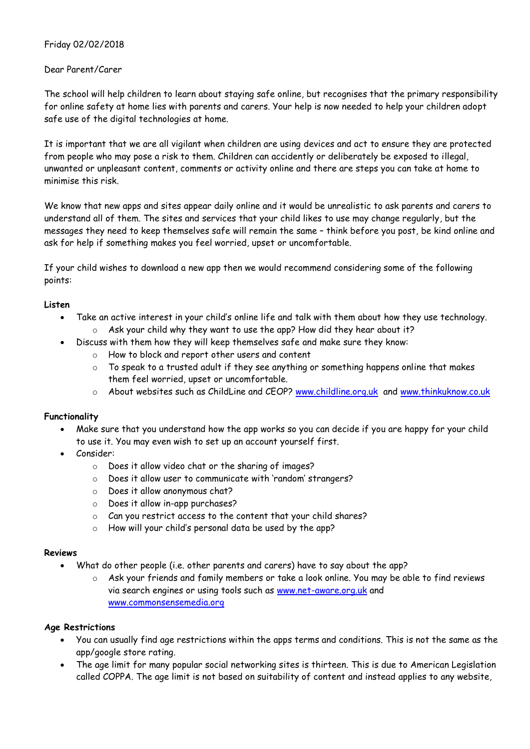# Friday 02/02/2018

### Dear Parent/Carer

The school will help children to learn about staying safe online, but recognises that the primary responsibility for online safety at home lies with parents and carers. Your help is now needed to help your children adopt safe use of the digital technologies at home.

It is important that we are all vigilant when children are using devices and act to ensure they are protected from people who may pose a risk to them. Children can accidently or deliberately be exposed to illegal, unwanted or unpleasant content, comments or activity online and there are steps you can take at home to minimise this risk.

We know that new apps and sites appear daily online and it would be unrealistic to ask parents and carers to understand all of them. The sites and services that your child likes to use may change regularly, but the messages they need to keep themselves safe will remain the same – think before you post, be kind online and ask for help if something makes you feel worried, upset or uncomfortable.

If your child wishes to download a new app then we would recommend considering some of the following points:

### **Listen**

- Take an active interest in your child's online life and talk with them about how they use technology. o Ask your child why they want to use the app? How did they hear about it?
	- Discuss with them how they will keep themselves safe and make sure they know:
		- o How to block and report other users and content
		- $\circ$  To speak to a trusted adult if they see anything or something happens online that makes them feel worried, upset or uncomfortable.
		- $\circ$  About websites such as ChildLine and CEOP? [www.childline.org.uk](http://www.childline.org.uk/) and [www.thinkuknow.co.uk](http://www.thinkuknow.co.uk/)

### **Functionality**

- Make sure that you understand how the app works so you can decide if you are happy for your child to use it. You may even wish to set up an account yourself first.
- Consider:
	- o Does it allow video chat or the sharing of images?
	- o Does it allow user to communicate with 'random' strangers?
	- o Does it allow anonymous chat?
	- o Does it allow in-app purchases?
	- o Can you restrict access to the content that your child shares?
	- o How will your child's personal data be used by the app?

#### **Reviews**

- What do other people (i.e. other parents and carers) have to say about the app?
	- $\circ$  Ask your friends and family members or take a look online. You may be able to find reviews via search engines or using tools such as [www.net-aware.org.uk](http://www.net-aware.org.uk/) and [www.commonsensemedia.org](http://www.commonsensemedia.org/)

### **Age Restrictions**

- You can usually find age restrictions within the apps terms and conditions. This is not the same as the app/google store rating.
- The age limit for many popular social networking sites is thirteen. This is due to American Legislation called COPPA. The age limit is not based on suitability of content and instead applies to any website,